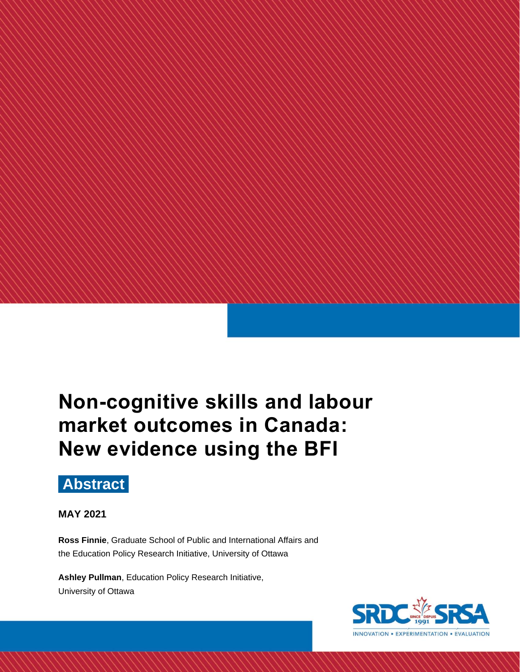# **Non-cognitive skills and labour market outcomes in Canada: New evidence using the BFI**

## **Abstract**

### **MAY 2021**

**Ross Finnie**, Graduate School of Public and International Affairs and the Education Policy Research Initiative, University of Ottawa

**Ashley Pullman**, Education Policy Research Initiative, University of Ottawa

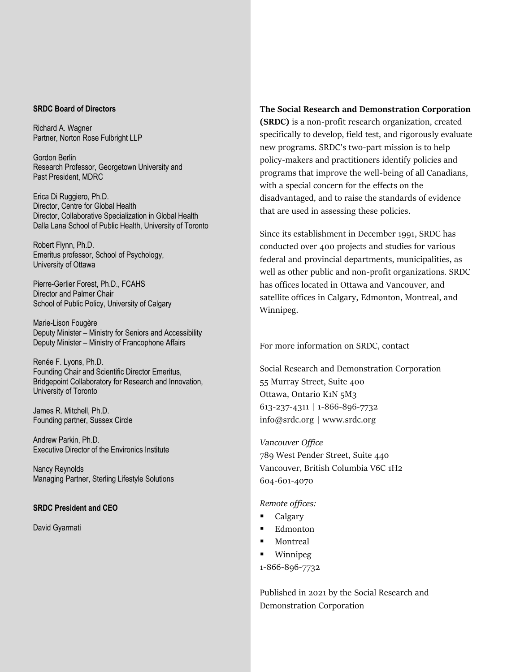#### **SRDC Board of Directors**

Richard A. Wagner Partner, Norton Rose Fulbright LLP

Gordon Berlin Research Professor, Georgetown University and Past President, MDRC

Erica Di Ruggiero, Ph.D. Director, Centre for Global Health Director, Collaborative Specialization in Global Health Dalla Lana School of Public Health, University of Toronto

Robert Flynn, Ph.D. Emeritus professor, School of Psychology, University of Ottawa

Pierre-Gerlier Forest, Ph.D., FCAHS Director and Palmer Chair School of Public Policy, University of Calgary

Marie-Lison Fougère Deputy Minister – Ministry for Seniors and Accessibility Deputy Minister – Ministry of Francophone Affairs

Renée F. Lyons, Ph.D. Founding Chair and Scientific Director Emeritus, Bridgepoint Collaboratory for Research and Innovation, University of Toronto

James R. Mitchell, Ph.D. Founding partner, Sussex Circle

Andrew Parkin, Ph.D. Executive Director of the Environics Institute

Nancy Reynolds Managing Partner, Sterling Lifestyle Solutions

#### **SRDC President and CEO**

David Gyarmati

#### **The Social Research and Demonstration Corporation**

**(SRDC)** is a non-profit research organization, created specifically to develop, field test, and rigorously evaluate new programs. SRDC's two-part mission is to help policy-makers and practitioners identify policies and programs that improve the well-being of all Canadians, with a special concern for the effects on the disadvantaged, and to raise the standards of evidence that are used in assessing these policies.

Since its establishment in December 1991, SRDC has conducted over 400 projects and studies for various federal and provincial departments, municipalities, as well as other public and non-profit organizations. SRDC has offices located in Ottawa and Vancouver, and satellite offices in Calgary, Edmonton, Montreal, and Winnipeg.

For more information on SRDC, contact

Social Research and Demonstration Corporation 55 Murray Street, Suite 400 Ottawa, Ontario K1N 5M3 613-237-4311 | 1-866-896-7732 [info@srdc.org](mailto:info@srdc.org) | [www.srdc.org](file:///C:/Documents%20and%20Settings/cmallory/Local%20Settings/Temp/Temporary%20Directory%201%20for%20gender%20differences_D3%20docx.zip/www.srdc.org)

*Vancouver Office* 789 West Pender Street, Suite 440 Vancouver, British Columbia V6C 1H2 604-601-4070

*Remote offices:*

- Calgary
- **Edmonton**
- Montreal
- **Winnipeg**

1-866-896-7732

Published in 2021 by the Social Research and Demonstration Corporation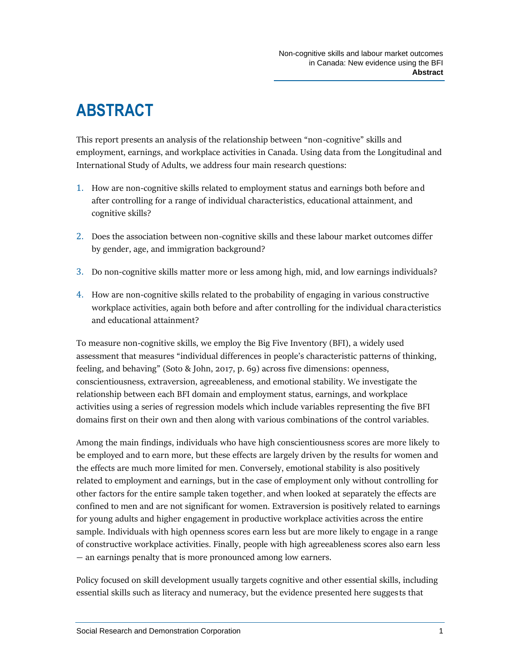# **ABSTRACT**

This report presents an analysis of the relationship between "non-cognitive" skills and employment, earnings, and workplace activities in Canada. Using data from the Longitudinal and International Study of Adults, we address four main research questions:

- 1. How are non-cognitive skills related to employment status and earnings both before and after controlling for a range of individual characteristics, educational attainment, and cognitive skills?
- 2. Does the association between non-cognitive skills and these labour market outcomes differ by gender, age, and immigration background?
- 3. Do non-cognitive skills matter more or less among high, mid, and low earnings individuals?
- 4. How are non-cognitive skills related to the probability of engaging in various constructive workplace activities, again both before and after controlling for the individual characteristics and educational attainment?

To measure non-cognitive skills, we employ the Big Five Inventory (BFI), a widely used assessment that measures "individual differences in people's characteristic patterns of thinking, feeling, and behaving" (Soto & John, 2017, p. 69) across five dimensions: openness, conscientiousness, extraversion, agreeableness, and emotional stability. We investigate the relationship between each BFI domain and employment status, earnings, and workplace activities using a series of regression models which include variables representing the five BFI domains first on their own and then along with various combinations of the control variables.

Among the main findings, individuals who have high conscientiousness scores are more likely to be employed and to earn more, but these effects are largely driven by the results for women and the effects are much more limited for men. Conversely, emotional stability is also positively related to employment and earnings, but in the case of employment only without controlling for other factors for the entire sample taken together, and when looked at separately the effects are confined to men and are not significant for women. Extraversion is positively related to earnings for young adults and higher engagement in productive workplace activities across the entire sample. Individuals with high openness scores earn less but are more likely to engage in a range of constructive workplace activities. Finally, people with high agreeableness scores also earn less — an earnings penalty that is more pronounced among low earners.

Policy focused on skill development usually targets cognitive and other essential skills, including essential skills such as literacy and numeracy, but the evidence presented here suggests that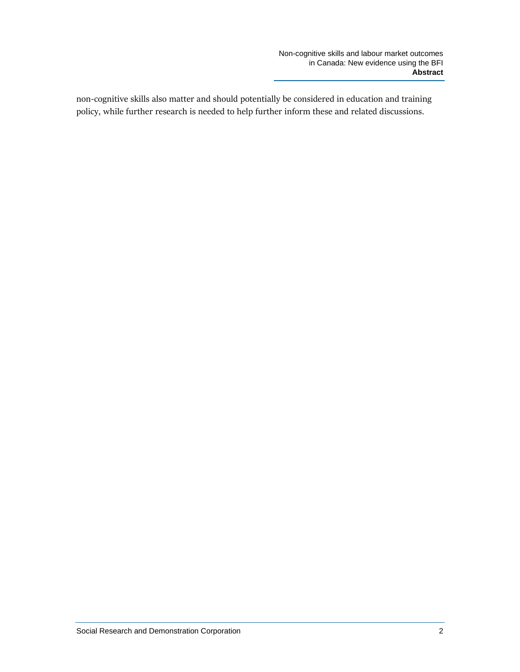non-cognitive skills also matter and should potentially be considered in education and training policy, while further research is needed to help further inform these and related discussions.